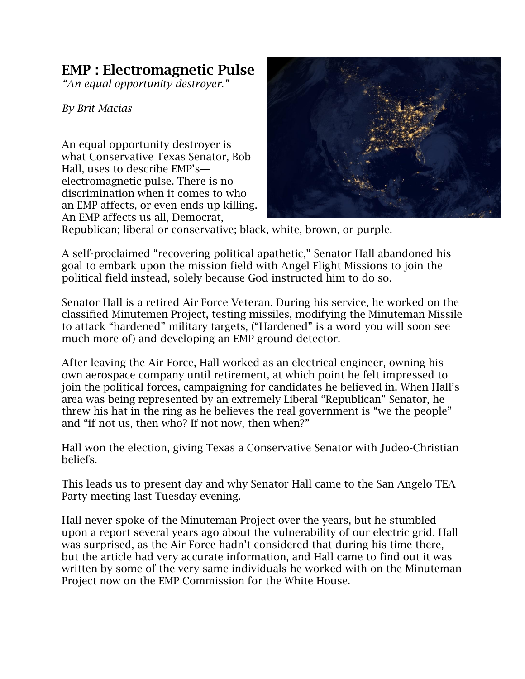## **EMP : Electromagnetic Pulse**

*"An equal opportunity destroyer."*

*By Brit Macias*

An equal opportunity destroyer is what Conservative Texas Senator, Bob Hall, uses to describe EMP's electromagnetic pulse. There is no discrimination when it comes to who an EMP affects, or even ends up killing. An EMP affects us all, Democrat,



Republican; liberal or conservative; black, white, brown, or purple.

A self-proclaimed "recovering political apathetic," Senator Hall abandoned his goal to embark upon the mission field with Angel Flight Missions to join the political field instead, solely because God instructed him to do so.

Senator Hall is a retired Air Force Veteran. During his service, he worked on the classified Minutemen Project, testing missiles, modifying the Minuteman Missile to attack "hardened" military targets, ("Hardened" is a word you will soon see much more of) and developing an EMP ground detector.

After leaving the Air Force, Hall worked as an electrical engineer, owning his own aerospace company until retirement, at which point he felt impressed to join the political forces, campaigning for candidates he believed in. When Hall's area was being represented by an extremely Liberal "Republican" Senator, he threw his hat in the ring as he believes the real government is "we the people" and "if not us, then who? If not now, then when?"

Hall won the election, giving Texas a Conservative Senator with Judeo-Christian beliefs.

This leads us to present day and why Senator Hall came to the San Angelo TEA Party meeting last Tuesday evening.

Hall never spoke of the Minuteman Project over the years, but he stumbled upon a report several years ago about the vulnerability of our electric grid. Hall was surprised, as the Air Force hadn't considered that during his time there, but the article had very accurate information, and Hall came to find out it was written by some of the very same individuals he worked with on the Minuteman Project now on the EMP Commission for the White House.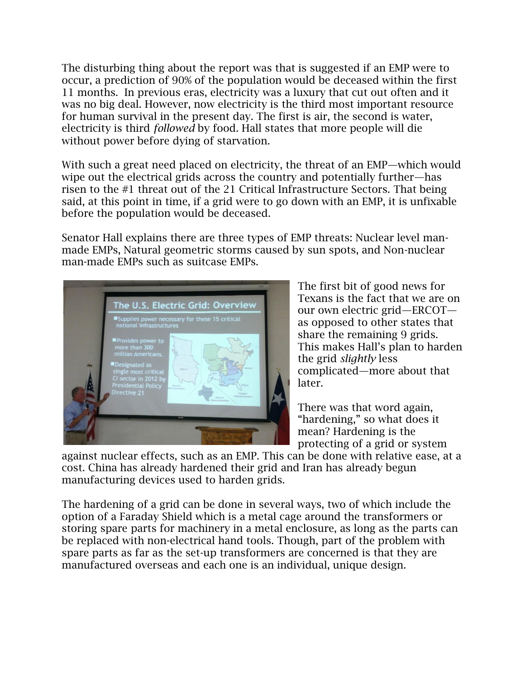The disturbing thing about the report was that is suggested if an EMP were to occur, a prediction of 90% of the population would be deceased within the first 11 months. In previous eras, electricity was a luxury that cut out often and it was no big deal. However, now electricity is the third most important resource for human survival in the present day. The first is air, the second is water, electricity is third *followed* by food. Hall states that more people will die without power before dying of starvation.

With such a great need placed on electricity, the threat of an EMP—which would wipe out the electrical grids across the country and potentially further—has risen to the #1 threat out of the 21 Critical Infrastructure Sectors. That being said, at this point in time, if a grid were to go down with an EMP, it is unfixable before the population would be deceased.

Senator Hall explains there are three types of EMP threats: Nuclear level manmade EMPs, Natural geometric storms caused by sun spots, and Non-nuclear man-made EMPs such as suitcase EMPs.



The first bit of good news for Texans is the fact that we are on our own electric grid—ERCOT as opposed to other states that share the remaining 9 grids. This makes Hall's plan to harden the grid *slightly* less complicated—more about that later.

There was that word again, "hardening," so what does it mean? Hardening is the protecting of a grid or system

against nuclear effects, such as an EMP. This can be done with relative ease, at a cost. China has already hardened their grid and Iran has already begun manufacturing devices used to harden grids.

The hardening of a grid can be done in several ways, two of which include the option of a Faraday Shield which is a metal cage around the transformers or storing spare parts for machinery in a metal enclosure, as long as the parts can be replaced with non-electrical hand tools. Though, part of the problem with spare parts as far as the set-up transformers are concerned is that they are manufactured overseas and each one is an individual, unique design.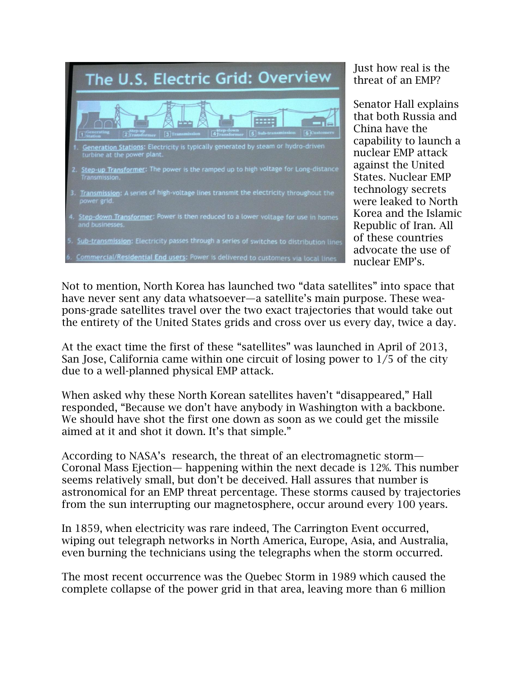

Just how real is the threat of an EMP?

Senator Hall explains that both Russia and China have the capability to launch a nuclear EMP attack against the United States. Nuclear EMP technology secrets were leaked to North Korea and the Islamic Republic of Iran. All of these countries advocate the use of nuclear EMP's.

Not to mention, North Korea has launched two "data satellites" into space that have never sent any data whatsoever—a satellite's main purpose. These weapons-grade satellites travel over the two exact trajectories that would take out the entirety of the United States grids and cross over us every day, twice a day.

At the exact time the first of these "satellites" was launched in April of 2013, San Jose, California came within one circuit of losing power to 1/5 of the city due to a well-planned physical EMP attack.

When asked why these North Korean satellites haven't "disappeared," Hall responded, "Because we don't have anybody in Washington with a backbone. We should have shot the first one down as soon as we could get the missile aimed at it and shot it down. It's that simple."

According to NASA's research, the threat of an electromagnetic storm— Coronal Mass Ejection— happening within the next decade is 12%. This number seems relatively small, but don't be deceived. Hall assures that number is astronomical for an EMP threat percentage. These storms caused by trajectories from the sun interrupting our magnetosphere, occur around every 100 years.

In 1859, when electricity was rare indeed, The Carrington Event occurred, wiping out telegraph networks in North America, Europe, Asia, and Australia, even burning the technicians using the telegraphs when the storm occurred.

The most recent occurrence was the Quebec Storm in 1989 which caused the complete collapse of the power grid in that area, leaving more than 6 million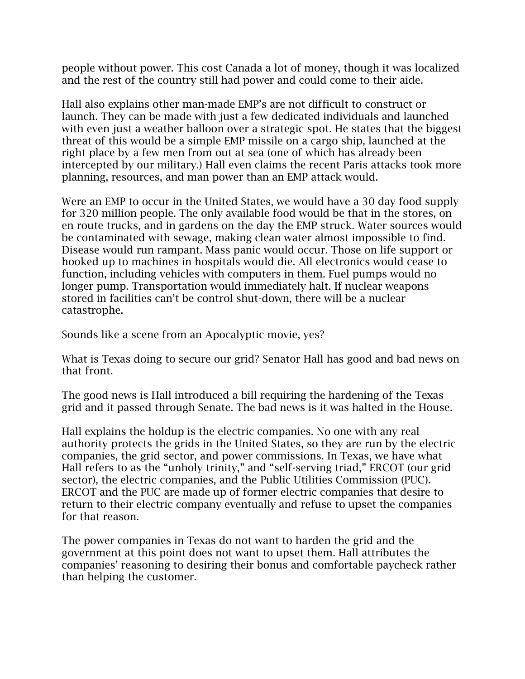people without power. This cost Canada a lot of money, though it was localized and the rest of the country still had power and could come to their aide.

Hall also explains other man-made EMP's are not difficult to construct or launch. They can be made with just a few dedicated individuals and launched with even just a weather balloon over a strategic spot. He states that the biggest threat of this would be a simple EMP missile on a cargo ship, launched at the right place by a few men from out at sea (one of which has already been intercepted by our military.) Hall even claims the recent Paris attacks took more planning, resources, and man power than an EMP attack would.

Were an EMP to occur in the United States, we would have a 30 day food supply for 320 million people. The only available food would be that in the stores, on en route trucks, and in gardens on the day the EMP struck. Water sources would be contaminated with sewage, making clean water almost impossible to find. Disease would run rampant. Mass panic would occur. Those on life support or hooked up to machines in hospitals would die. All electronics would cease to function, including vehicles with computers in them. Fuel pumps would no longer pump. Transportation would immediately halt. If nuclear weapons stored in facilities can't be control shut-down, there will be a nuclear catastrophe.

Sounds like a scene from an Apocalyptic movie, yes?

What is Texas doing to secure our grid? Senator Hall has good and bad news on that front.

The good news is Hall introduced a bill requiring the hardening of the Texas grid and it passed through Senate. The bad news is it was halted in the House.

Hall explains the holdup is the electric companies. No one with any real authority protects the grids in the United States, so they are run by the electric companies, the grid sector, and power commissions. In Texas, we have what Hall refers to as the "unholy trinity," and "self-serving triad," ERCOT (our grid sector), the electric companies, and the Public Utilities Commission (PUC). ERCOT and the PUC are made up of former electric companies that desire to return to their electric company eventually and refuse to upset the companies for that reason.

The power companies in Texas do not want to harden the grid and the government at this point does not want to upset them. Hall attributes the companies' reasoning to desiring their bonus and comfortable paycheck rather than helping the customer.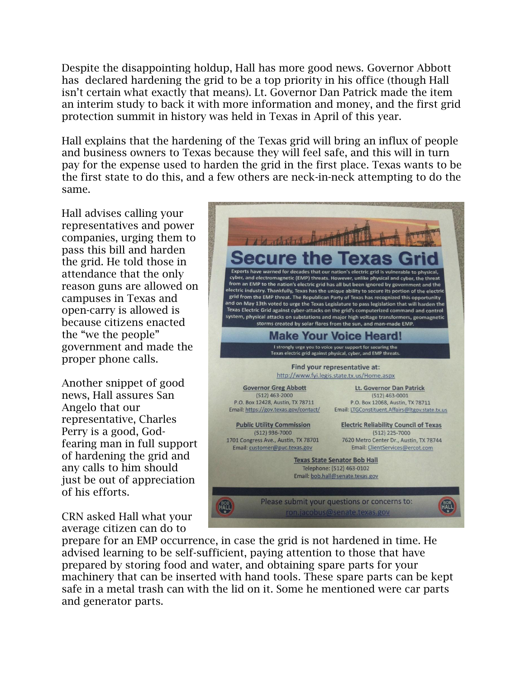Despite the disappointing holdup, Hall has more good news. Governor Abbott has declared hardening the grid to be a top priority in his office (though Hall isn't certain what exactly that means). Lt. Governor Dan Patrick made the item an interim study to back it with more information and money, and the first grid protection summit in history was held in Texas in April of this year.

Hall explains that the hardening of the Texas grid will bring an influx of people and business owners to Texas because they will feel safe, and this will in turn pay for the expense used to harden the grid in the first place. Texas wants to be the first state to do this, and a few others are neck-in-neck attempting to do the same.

Hall advises calling your representatives and power companies, urging them to pass this bill and harden the grid. He told those in attendance that the only reason guns are allowed on campuses in Texas and open-carry is allowed is because citizens enacted the "we the people" government and made the proper phone calls.

Another snippet of good news, Hall assures San Angelo that our representative, Charles Perry is a good, Godfearing man in full support of hardening the grid and any calls to him should just be out of appreciation of his efforts.

CRN asked Hall what your average citizen can do to



prepare for an EMP occurrence, in case the grid is not hardened in time. He advised learning to be self-sufficient, paying attention to those that have prepared by storing food and water, and obtaining spare parts for your machinery that can be inserted with hand tools. These spare parts can be kept safe in a metal trash can with the lid on it. Some he mentioned were car parts and generator parts.